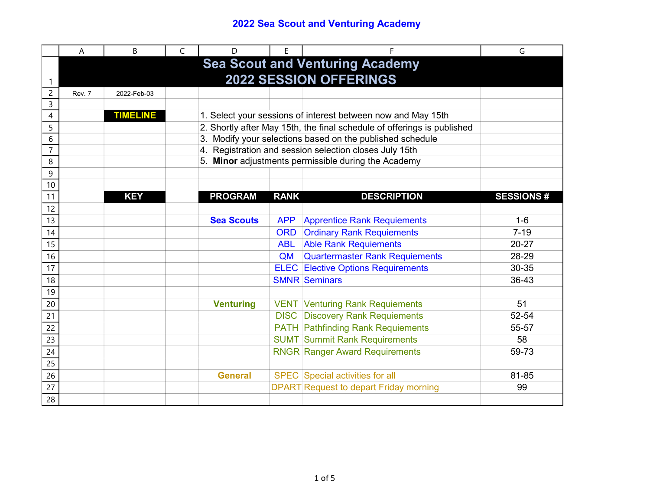|                 | Α                                      | B                                                         | C | D                 | E           | F                                                                       | G                |  |  |
|-----------------|----------------------------------------|-----------------------------------------------------------|---|-------------------|-------------|-------------------------------------------------------------------------|------------------|--|--|
|                 | <b>Sea Scout and Venturing Academy</b> |                                                           |   |                   |             |                                                                         |                  |  |  |
|                 | <b>2022 SESSION OFFERINGS</b>          |                                                           |   |                   |             |                                                                         |                  |  |  |
| 2               | Rev. 7                                 | 2022-Feb-03                                               |   |                   |             |                                                                         |                  |  |  |
| 3               |                                        |                                                           |   |                   |             |                                                                         |                  |  |  |
| 4               |                                        | <b>TIMELINE</b>                                           |   |                   |             | 1. Select your sessions of interest between now and May 15th            |                  |  |  |
| 5               |                                        |                                                           |   |                   |             | 2. Shortly after May 15th, the final schedule of offerings is published |                  |  |  |
| 6               |                                        | 3. Modify your selections based on the published schedule |   |                   |             |                                                                         |                  |  |  |
| $\overline{7}$  |                                        | 4. Registration and session selection closes July 15th    |   |                   |             |                                                                         |                  |  |  |
| 8               |                                        |                                                           |   |                   |             | 5. Minor adjustments permissible during the Academy                     |                  |  |  |
| 9               |                                        |                                                           |   |                   |             |                                                                         |                  |  |  |
| 10              |                                        |                                                           |   |                   |             |                                                                         |                  |  |  |
| 11              |                                        | <b>KEY</b>                                                |   | <b>PROGRAM</b>    | <b>RANK</b> | <b>DESCRIPTION</b>                                                      | <b>SESSIONS#</b> |  |  |
| 12              |                                        |                                                           |   |                   |             |                                                                         |                  |  |  |
| 13              |                                        |                                                           |   | <b>Sea Scouts</b> | <b>APP</b>  | <b>Apprentice Rank Requiements</b>                                      | $1-6$            |  |  |
| 14              |                                        |                                                           |   |                   | <b>ORD</b>  | <b>Ordinary Rank Requiements</b>                                        | $7 - 19$         |  |  |
| 15              |                                        |                                                           |   |                   | <b>ABL</b>  | <b>Able Rank Requiements</b>                                            | 20-27            |  |  |
| 16              |                                        |                                                           |   |                   | QM          | <b>Quartermaster Rank Requiements</b>                                   | 28-29            |  |  |
| 17              |                                        |                                                           |   |                   |             | <b>ELEC</b> Elective Options Requirements                               | 30-35            |  |  |
| 18              |                                        |                                                           |   |                   |             | <b>SMNR Seminars</b>                                                    | 36-43            |  |  |
| 19              |                                        |                                                           |   |                   |             |                                                                         |                  |  |  |
| 20              |                                        |                                                           |   | <b>Venturing</b>  |             | <b>VENT Venturing Rank Requiements</b>                                  | 51               |  |  |
| $\overline{21}$ |                                        |                                                           |   |                   |             | <b>DISC</b> Discovery Rank Requiements                                  | 52-54            |  |  |
| 22              |                                        |                                                           |   |                   |             | <b>PATH Pathfinding Rank Requiements</b>                                | 55-57            |  |  |
| 23              |                                        |                                                           |   |                   |             | <b>SUMT Summit Rank Requirements</b>                                    | 58               |  |  |
| 24              |                                        |                                                           |   |                   |             | <b>RNGR Ranger Award Requirements</b>                                   | 59-73            |  |  |
| 25              |                                        |                                                           |   |                   |             |                                                                         |                  |  |  |
| 26              |                                        |                                                           |   | <b>General</b>    |             | SPEC Special activities for all                                         | 81-85            |  |  |
| 27              |                                        |                                                           |   |                   |             | <b>DPART</b> Request to depart Friday morning                           | 99               |  |  |
| 28              |                                        |                                                           |   |                   |             |                                                                         |                  |  |  |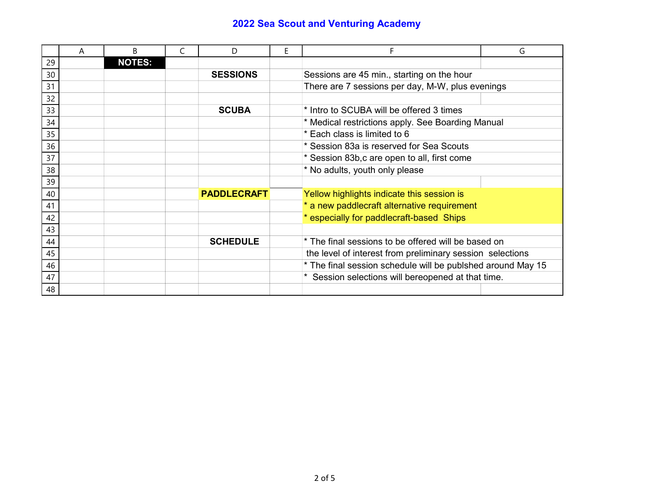|    | A | B             | C | D                  | E | F                                                           | G |
|----|---|---------------|---|--------------------|---|-------------------------------------------------------------|---|
| 29 |   | <b>NOTES:</b> |   |                    |   |                                                             |   |
| 30 |   |               |   | <b>SESSIONS</b>    |   | Sessions are 45 min., starting on the hour                  |   |
| 31 |   |               |   |                    |   | There are 7 sessions per day, M-W, plus evenings            |   |
| 32 |   |               |   |                    |   |                                                             |   |
| 33 |   |               |   | <b>SCUBA</b>       |   | * Intro to SCUBA will be offered 3 times                    |   |
| 34 |   |               |   |                    |   | * Medical restrictions apply. See Boarding Manual           |   |
| 35 |   |               |   |                    |   | * Each class is limited to 6                                |   |
| 36 |   |               |   |                    |   | * Session 83a is reserved for Sea Scouts                    |   |
| 37 |   |               |   |                    |   | * Session 83b, c are open to all, first come                |   |
| 38 |   |               |   |                    |   | * No adults, youth only please                              |   |
| 39 |   |               |   |                    |   |                                                             |   |
| 40 |   |               |   | <b>PADDLECRAFT</b> |   | Yellow highlights indicate this session is                  |   |
| 41 |   |               |   |                    |   | * a new paddlecraft alternative requirement                 |   |
| 42 |   |               |   |                    |   | * especially for paddlecraft-based Ships                    |   |
| 43 |   |               |   |                    |   |                                                             |   |
| 44 |   |               |   | <b>SCHEDULE</b>    |   | * The final sessions to be offered will be based on         |   |
| 45 |   |               |   |                    |   | the level of interest from preliminary session selections   |   |
| 46 |   |               |   |                    |   | * The final session schedule will be publshed around May 15 |   |
| 47 |   |               |   |                    |   | * Session selections will bereopened at that time.          |   |
| 48 |   |               |   |                    |   |                                                             |   |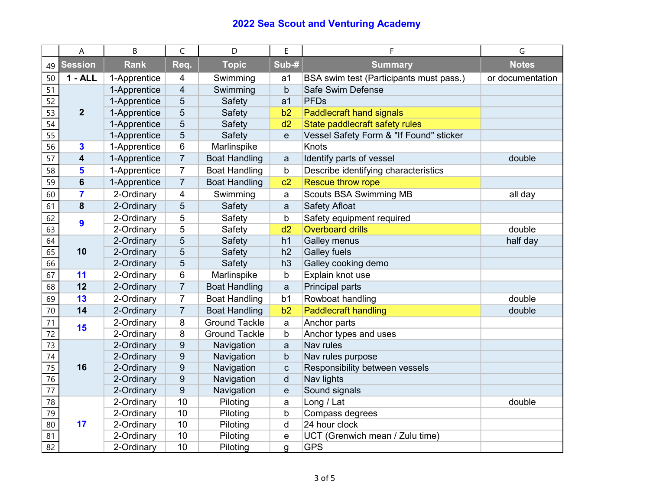|                 | A                       | B            | $\mathsf{C}$     | D                    | E              | F                                       | G                |
|-----------------|-------------------------|--------------|------------------|----------------------|----------------|-----------------------------------------|------------------|
| 49              | <b>Session</b>          | <b>Rank</b>  | Req.             | <b>Topic</b>         | Sub-#          | <b>Summary</b>                          | <b>Notes</b>     |
| 50              | $1 - ALL$               | 1-Apprentice | 4                | Swimming             | a1             | BSA swim test (Participants must pass.) | or documentation |
| 51              |                         | 1-Apprentice | $\overline{4}$   | Swimming             | $\mathsf b$    | Safe Swim Defense                       |                  |
| 52              | $\overline{2}$          | 1-Apprentice | 5                | Safety               | a <sub>1</sub> | <b>PFDs</b>                             |                  |
| 53              |                         | 1-Apprentice | 5                | Safety               | b2             | <b>Paddlecraft hand signals</b>         |                  |
| 54              |                         | 1-Apprentice | 5                | Safety               | d2             | State paddlecraft safety rules          |                  |
| $\overline{55}$ |                         | 1-Apprentice | 5                | Safety               | $\mathbf e$    | Vessel Safety Form & "If Found" sticker |                  |
| 56              | $\mathbf{3}$            | 1-Apprentice | 6                | Marlinspike          |                | Knots                                   |                  |
| 57              | $\overline{\mathbf{4}}$ | 1-Apprentice | $\overline{7}$   | <b>Boat Handling</b> | a              | Identify parts of vessel                | double           |
| 58              | 5                       | 1-Apprentice | $\overline{7}$   | <b>Boat Handling</b> | $\mathsf b$    | Describe identifying characteristics    |                  |
| 59              | $6\phantom{1}6$         | 1-Apprentice | $\overline{7}$   | <b>Boat Handling</b> | c2             | <b>Rescue throw rope</b>                |                  |
| 60              | $\overline{\mathbf{7}}$ | 2-Ordinary   | 4                | Swimming             | a              | <b>Scouts BSA Swimming MB</b>           | all day          |
| 61              | 8                       | 2-Ordinary   | 5                | Safety               | a              | <b>Safety Afloat</b>                    |                  |
| 62              | 9                       | 2-Ordinary   | 5                | Safety               | b              | Safety equipment required               |                  |
| 63              |                         | 2-Ordinary   | 5                | Safety               | d2             | <b>Overboard drills</b>                 | double           |
| 64              |                         | 2-Ordinary   | 5                | Safety               | h1             | Galley menus                            | half day         |
| 65              | 10                      | 2-Ordinary   | 5                | Safety               | h2             | <b>Galley fuels</b>                     |                  |
| 66              |                         | 2-Ordinary   | 5                | Safety               | h3             | Galley cooking demo                     |                  |
| 67              | 11                      | 2-Ordinary   | 6                | Marlinspike          | b              | Explain knot use                        |                  |
| 68              | 12                      | 2-Ordinary   | $\overline{7}$   | <b>Boat Handling</b> | a              | Principal parts                         |                  |
| 69              | 13                      | 2-Ordinary   | $\overline{7}$   | <b>Boat Handling</b> | b <sub>1</sub> | Rowboat handling                        | double           |
| 70              | 14                      | 2-Ordinary   | $\overline{7}$   | <b>Boat Handling</b> | b2             | <b>Paddlecraft handling</b>             | double           |
| 71              | 15                      | 2-Ordinary   | 8                | <b>Ground Tackle</b> | a              | Anchor parts                            |                  |
| 72              |                         | 2-Ordinary   | 8                | <b>Ground Tackle</b> | b              | Anchor types and uses                   |                  |
| 73              |                         | 2-Ordinary   | 9                | Navigation           | a              | Nav rules                               |                  |
| $\overline{74}$ |                         | 2-Ordinary   | 9                | Navigation           | þ              | Nav rules purpose                       |                  |
| 75              | 16                      | 2-Ordinary   | $\boldsymbol{9}$ | Navigation           | $\mathsf c$    | Responsibility between vessels          |                  |
| 76              |                         | 2-Ordinary   | 9                | Navigation           | d              | Nav lights                              |                  |
| $\overline{77}$ |                         | 2-Ordinary   | 9                | Navigation           | e              | Sound signals                           |                  |
| 78              | 17                      | 2-Ordinary   | 10               | Piloting             | a              | Long / Lat                              | double           |
| 79              |                         | 2-Ordinary   | 10               | Piloting             | b              | Compass degrees                         |                  |
| 80              |                         | 2-Ordinary   | 10               | Piloting             | $\mathsf{d}$   | 24 hour clock                           |                  |
| 81              |                         | 2-Ordinary   | 10               | Piloting             | e              | UCT (Grenwich mean / Zulu time)         |                  |
| 82              |                         | 2-Ordinary   | 10               | Piloting             | g              | <b>GPS</b>                              |                  |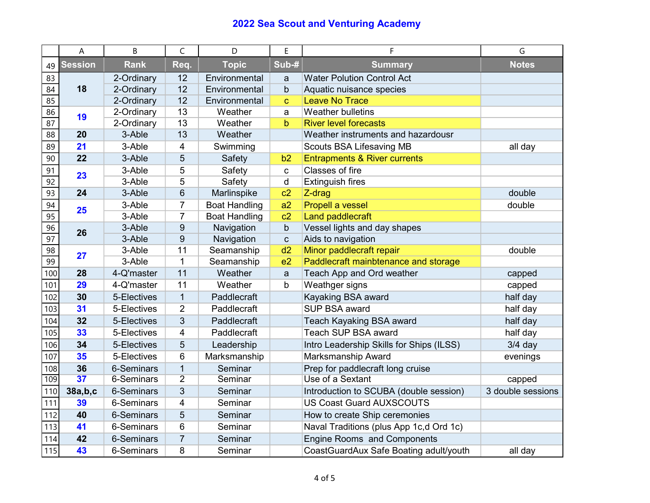|                 | A               | B                 | C              | D                    | E              | F                                        | G                 |
|-----------------|-----------------|-------------------|----------------|----------------------|----------------|------------------------------------------|-------------------|
| 49              | <b>Session</b>  | <b>Rank</b>       | Req.           | <b>Topic</b>         | Sub-#          | <b>Summary</b>                           | <b>Notes</b>      |
| 83              | 18              | 2-Ordinary        | 12             | Environmental        | a              | <b>Water Polution Control Act</b>        |                   |
| 84              |                 | 2-Ordinary        | 12             | Environmental        | b              | Aquatic nuisance species                 |                   |
| 85              |                 | 2-Ordinary        | 12             | Environmental        | $\mathbf{C}$   | <b>Leave No Trace</b>                    |                   |
| 86              | 19              | 2-Ordinary        | 13             | Weather              | a              | <b>Weather bulletins</b>                 |                   |
| 87              |                 | 2-Ordinary        | 13             | Weather              | b              | <b>River level forecasts</b>             |                   |
| 88              | 20              | 3-Able            | 13             | Weather              |                | Weather instruments and hazardousr       |                   |
| 89              | 21              | 3-Able            | 4              | Swimming             |                | <b>Scouts BSA Lifesaving MB</b>          | all day           |
| 90              | 22              | 3-Able            | 5              | Safety               | b2             | <b>Entrapments &amp; River currents</b>  |                   |
| 91              | 23              | 3-Able            | 5              | Safety               | C              | Classes of fire                          |                   |
| 92              |                 | 3-Able            | 5              | Safety               | $\sf d$        | <b>Extinguish fires</b>                  |                   |
| $\overline{93}$ | 24              | 3-Able            | 6              | Marlinspike          | c2             | Z-drag                                   | double            |
| 94              | 25              | 3-Able            | 7              | <b>Boat Handling</b> | a2             | <b>Propell a vessel</b>                  | double            |
| $\overline{95}$ |                 | 3-Able            | $\overline{7}$ | <b>Boat Handling</b> | c2             | <b>Land paddlecraft</b>                  |                   |
| 96              | 26              | 3-Able            | 9              | Navigation           | $\mathsf{b}$   | Vessel lights and day shapes             |                   |
| $\overline{97}$ |                 | 3-Able            | 9              | Navigation           | $\mathbf{C}$   | Aids to navigation                       |                   |
| 98              | 27              | 3-Able            | 11             | Seamanship           | d2             | Minor paddlecraft repair                 | double            |
| 99              |                 | 3-Able            | $\mathbf{1}$   | Seamanship           | e <sub>2</sub> | Paddlecraft mainbtenance and storage     |                   |
| 100             | 28              | 4-Q'master        | 11             | Weather              | a              | Teach App and Ord weather                | capped            |
| 101             | 29              | 4-Q'master        | 11             | Weather              | b              | Weathger signs                           | capped            |
| 102             | 30              | 5-Electives       | $\mathbf{1}$   | Paddlecraft          |                | Kayaking BSA award                       | half day          |
| 103             | 31              | 5-Electives       | $\overline{2}$ | Paddlecraft          |                | SUP BSA award                            | half day          |
| 104             | 32              | 5-Electives       | 3              | Paddlecraft          |                | Teach Kayaking BSA award                 | half day          |
| 105             | 33              | 5-Electives       | 4              | Paddlecraft          |                | Teach SUP BSA award                      | half day          |
| 106             | 34              | 5-Electives       | 5              | Leadership           |                | Intro Leadership Skills for Ships (ILSS) | $3/4$ day         |
| 107             | 35              | 5-Electives       | 6              | Marksmanship         |                | Marksmanship Award                       | evenings          |
| 108             | 36              | <b>6-Seminars</b> | $\overline{1}$ | Seminar              |                | Prep for paddlecraft long cruise         |                   |
| 109             | $\overline{37}$ | 6-Seminars        | $\overline{2}$ | Seminar              |                | Use of a Sextant                         | capped            |
| 110             | 38a,b,c         | 6-Seminars        | 3              | Seminar              |                | Introduction to SCUBA (double session)   | 3 double sessions |
| 111             | 39              | 6-Seminars        | $\overline{4}$ | Seminar              |                | <b>US Coast Guard AUXSCOUTS</b>          |                   |
| 112             | 40              | <b>6-Seminars</b> | 5              | Seminar              |                | How to create Ship ceremonies            |                   |
| 113             | 41              | 6-Seminars        | 6              | Seminar              |                | Naval Traditions (plus App 1c,d Ord 1c)  |                   |
| 114             | 42              | 6-Seminars        | $\overline{7}$ | Seminar              |                | <b>Engine Rooms and Components</b>       |                   |
| 115             | 43              | 6-Seminars        | 8              | Seminar              |                | CoastGuardAux Safe Boating adult/youth   | all day           |